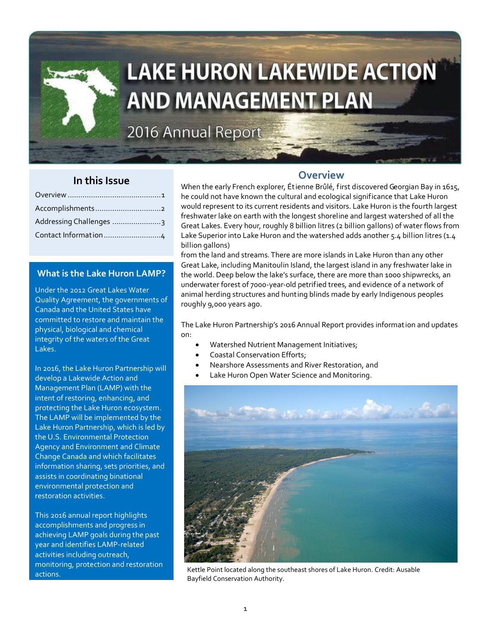

# **LAKE HURON LAKEWIDE ACTION AND MANAGEMENT PLAN**

2016 Annual Report

### **In this Issue**

| Addressing Challenges 3 |
|-------------------------|
|                         |
|                         |

### **What is the Lake Huron LAMP?**

Under the 2012 Great Lakes Water Quality Agreement, the governments of Canada and the United States have committed to restore and maintain the physical, biological and chemical integrity of the waters of the Great Lakes.

In 2016, the Lake Huron Partnership will develop a Lakewide Action and Management Plan (LAMP) with the intent of restoring, enhancing, and protecting the Lake Huron ecosystem. The LAMP will be implemented by the Lake Huron Partnership, which is led by the U.S. Environmental Protection Agency and Environment and Climate Change Canada and which facilitates information sharing, sets priorities, and assists in coordinating binational environmental protection and restoration activities.

This 2016 annual report highlights accomplishments and progress in achieving LAMP goals during the past year and identifies LAMP-related activities including outreach, monitoring, protection and restoration

### **Overview**

When the early French explorer, Étienne Brûlé, first discovered Georgian Bay in 1615, he could not have known the cultural and ecological significance that Lake Huron would represent to its current residents and visitors. Lake Huron is the fourth largest freshwater lake on earth with the longest shoreline and largest watershed of all the Great Lakes. Every hour, roughly 8 billion litres (2 billion gallons) of water flows from Lake Superior into Lake Huron and the watershed adds another 5.4 billion litres (1.4 billion gallons)

from the land and streams. There are more islands in Lake Huron than any other Great Lake, including Manitoulin Island, the largest island in any freshwater lake in the world. Deep below the lake's surface, there are more than 1000 shipwrecks, an underwater forest of 7000-year-old petrified trees, and evidence of a network of animal herding structures and hunting blinds made by early Indigenous peoples roughly 9,000 years ago.

The Lake Huron Partnership's 2016 Annual Report provides information and updates on:

- Watershed Nutrient Management Initiatives;
- Coastal Conservation Efforts;
- Nearshore Assessments and River Restoration, and
- Lake Huron Open Water Science and Monitoring.



actions. Kettle Point located along the southeast shores of Lake Huron. Credit: Ausable Bayfield Conservation Authority.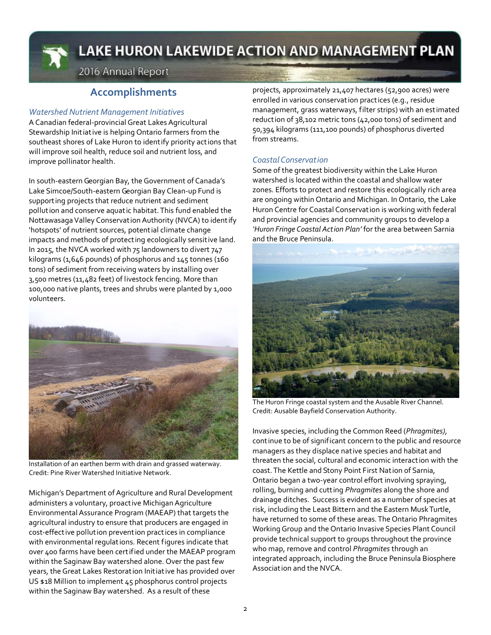

# LAKE HURON LAKEWIDE ACTION AND MANAGEMENT PLAN

2016 Annual Report

### **Accomplishments**

### *Watershed Nutrient Management Initiatives*

A Canadian federal-provincial Great Lakes Agricultural Stewardship Initiative is helping Ontario farmers from the southeast shores of Lake Huron to identify priority actions that will improve soil health, reduce soil and nutrient loss, and improve pollinator health.

In south-eastern Georgian Bay, the Government of Canada's Lake Simcoe/South-eastern Georgian Bay Clean-up Fund is support ing projects that reduce nutrient and sediment pollution and conserve aquat ic habitat. This fund enabled the Nottawasaga Valley Conservation Authority (NVCA) to identify 'hotspots' of nutrient sources, potential climate change impacts and methods of protecting ecologically sensitive land. In 2015, the NVCA worked with 75 landowners to divert 747 kilograms (1,646 pounds) of phosphorus and 145 tonnes (160 tons) of sediment from receiving waters by installing over 3,500 metres (11,482 feet) of livestock fencing. More than 100,000 native plants, trees and shrubs were planted by 1,000 volunteers.



Installation of an earthen berm with drain and grassed waterway. Credit: Pine River Watershed Initiative Network.

Michigan's Department of Agriculture and Rural Development administers a voluntary, proactive Michigan Agriculture Environmental Assurance Program (MAEAP) that targets the agricultural industry to ensure that producers are engaged in cost-effective pollution prevention practices in compliance with environmental regulat ions. Recent figures indicate that over 400 farms have been certified under the MAEAP program within the Saginaw Bay watershed alone. Over the past few years, the Great Lakes Restoration Initiative has provided over US \$18 Million to implement 45 phosphorus control projects within the Saginaw Bay watershed. As a result of these

projects, approximately 21,407 hectares (52,900 acres) were enrolled in various conservat ion practices (e.g., residue management, grass waterways, filter strips) with an estimated reduction of 38,102 metric tons (42,000 tons) of sediment and 50,394 kilograms (111,100 pounds) of phosphorus diverted from streams.

### *Coastal Conservation*

Some of the greatest biodiversity within the Lake Huron watershed is located within the coastal and shallow water zones. Efforts to protect and restore this ecologically rich area are ongoing within Ontario and Michigan. In Ontario, the Lake Huron Centre for Coastal Conservat ion is working with federal and provincial agencies and community groups to develop a *'Huron Fringe Coastal Action Plan'* for the area between Sarnia and the Bruce Peninsula.



The Huron Fringe coastal system and the Ausable River Channel. Credit: Ausable Bayfield Conservation Authority.

Invasive species, including the Common Reed (*Phragmites),* continue to be of significant concern to the public and resource managers as they displace native species and habitat and threaten the social, cultural and economic interaction with the coast. The Kettle and Stony Point First Nation of Sarnia, Ontario began a two-year control effort involving spraying, rolling, burning and cutt ing *Phragmites* along the shore and drainage ditches. Success is evident as a number of species at risk, including the Least Bittern and the Eastern Musk Turtle, have returned to some of these areas. The Ontario Phragmites Working Group and the Ontario Invasive Species Plant Council provide technical support to groups throughout the province who map, remove and control *Phragmites* through an integrated approach, including the Bruce Peninsula Biosphere Association and the NVCA.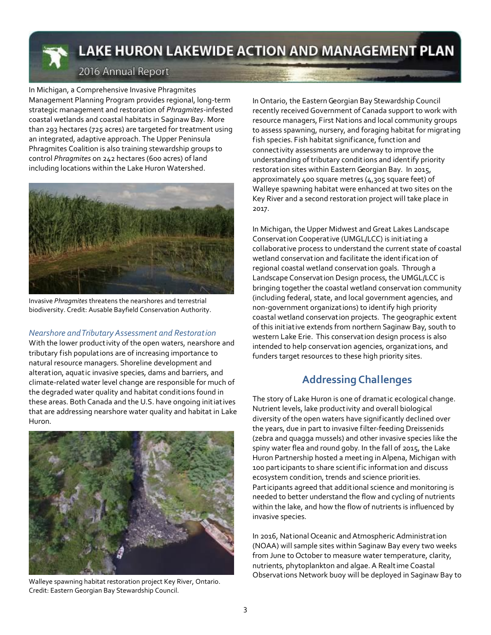

# LAKE HURON LAKEWIDE ACTION AND MANAGEMENT PLAN

### 2016 Annual Report

In Michigan, a Comprehensive Invasive Phragmites Management Planning Program provides regional, long-term strategic management and restoration of *Phragmites*-infested coastal wetlands and coastal habitats in Saginaw Bay. More than 293 hectares (725 acres) are targeted for treatment using an integrated, adaptive approach. The Upper Peninsula Phragmites Coalition is also training stewardship groups to control *Phragmites* on 242 hectares (600 acres) of land including locations within the Lake Huron Watershed.



Invasive *Phragmites* threatens the nearshores and terrestrial biodiversity. Credit: Ausable Bayfield Conservation Authority.

### *Nearshore and Tributary Assessment and Restoration*

With the lower productivity of the open waters, nearshore and tributary fish populations are of increasing importance to natural resource managers. Shoreline development and alteration, aquatic invasive species, dams and barriers, and climate-related water level change are responsible for much of the degraded water quality and habitat conditions found in these areas. Both Canada and the U.S. have ongoing initiatives that are addressing nearshore water quality and habitat in Lake Huron.



Walleye spawning habitat restoration project Key River, Ontario. Credit: Eastern Georgian Bay Stewardship Council.

In Ontario, the Eastern Georgian Bay Stewardship Council recently received Government of Canada support to work with resource managers, First Nations and local community groups to assess spawning, nursery, and foraging habitat for migrating fish species. Fish habitat significance, function and connectivity assessments are underway to improve the understanding of tributary conditions and ident ify priority restoration sites within Eastern Georgian Bay. In 2015, approximately 400 square metres (4,305 square feet) of Walleye spawning habitat were enhanced at two sites on the Key River and a second restoration project will take place in 2017.

In Michigan, the Upper Midwest and Great Lakes Landscape Conservat ion Cooperative (UMGL/LCC) is initiating a collaborative process to understand the current state of coastal wetland conservation and facilitate the identification of regional coastal wetland conservat ion goals. Through a Landscape Conservat ion Design process, the UMGL/LCC is bringing together the coastal wetland conservation community (including federal, state, and local government agencies, and non-government organizations) to identify high priority coastal wetland conservat ion projects. The geographic extent of this initiative extends from northern Saginaw Bay, south to western Lake Erie. This conservat ion design process is also intended to help conservation agencies, organizations, and funders target resources to these high priority sites.

### **Addressing Challenges**

The story of Lake Huron is one of dramatic ecological change. Nutrient levels, lake productivity and overall biological diversity of the open waters have significantly declined over the years, due in part to invasive filter-feeding Dreissenids (zebra and quagga mussels) and other invasive species like the spiny water flea and round goby. In the fall of 2015, the Lake Huron Partnership hosted a meeting in Alpena, Michigan with 100 part icipants to share scientific information and discuss ecosystem condition, trends and science priorities. Part icipants agreed that additional science and monitoring is needed to better understand the flow and cycling of nutrients within the lake, and how the flow of nutrients is influenced by invasive species.

In 2016, National Oceanic and Atmospheric Administration (NOAA) will sample sites within Saginaw Bay every two weeks from June to October to measure water temperature, clarity, nutrients, phytoplankton and algae. A Realt ime Coastal Observat ions Network buoy will be deployed in Saginaw Bay to